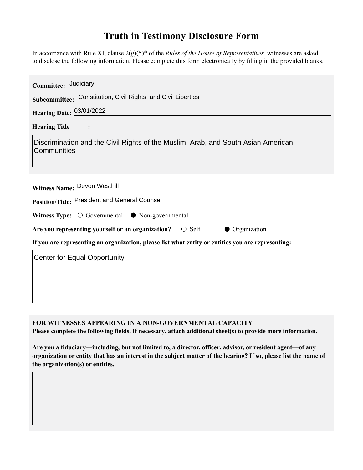## **Truth in Testimony Disclosure Form**

In accordance with Rule XI, clause 2(g)(5)\* of the *Rules of the House of Representatives*, witnesses are asked to disclose the following information. Please complete this form electronically by filling in the provided blanks.

| Committee: Judiciary                                                                               |
|----------------------------------------------------------------------------------------------------|
| Subcommittee: Constitution, Civil Rights, and Civil Liberties                                      |
| Hearing Date: 03/01/2022                                                                           |
| <b>Hearing Title</b>                                                                               |
| Discrimination and the Civil Rights of the Muslim, Arab, and South Asian American<br>Communities   |
| Witness Name: Devon Westhill<br>Position/Title: President and General Counsel                      |
| Witness Type: $\bigcirc$ Governmental $\bigcirc$ Non-governmental                                  |
| Are you representing yourself or an organization?<br>$\circ$ Self<br><b>Organization</b>           |
| If you are representing an organization, please list what entity or entities you are representing: |
| <b>Center for Equal Opportunity</b>                                                                |

**FOR WITNESSES APPEARING IN A NON-GOVERNMENTAL CAPACITY**

**Please complete the following fields. If necessary, attach additional sheet(s) to provide more information.**

**Are you a fiduciary—including, but not limited to, a director, officer, advisor, or resident agent—of any organization or entity that has an interest in the subject matter of the hearing? If so, please list the name of the organization(s) or entities.**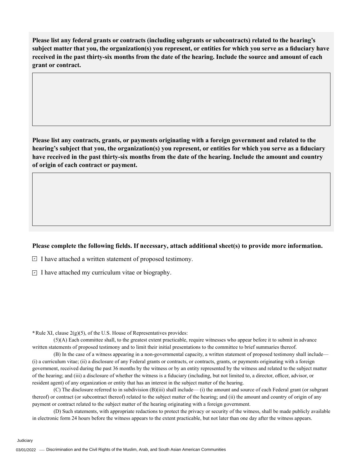**Please list any federal grants or contracts (including subgrants or subcontracts) related to the hearing's subject matter that you, the organization(s) you represent, or entities for which you serve as a fiduciary have received in the past thirty-six months from the date of the hearing. Include the source and amount of each grant or contract.** 

**Please list any contracts, grants, or payments originating with a foreign government and related to the hearing's subject that you, the organization(s) you represent, or entities for which you serve as a fiduciary have received in the past thirty-six months from the date of the hearing. Include the amount and country of origin of each contract or payment.** 

## **Please complete the following fields. If necessary, attach additional sheet(s) to provide more information.**

 $\exists$  I have attached a written statement of proposed testimony.

 $\subseteq$  I have attached my curriculum vitae or biography.

**\***Rule XI, clause 2(g)(5), of the U.S. House of Representatives provides:

(5)(A) Each committee shall, to the greatest extent practicable, require witnesses who appear before it to submit in advance written statements of proposed testimony and to limit their initial presentations to the committee to brief summaries thereof.

(B) In the case of a witness appearing in a non-governmental capacity, a written statement of proposed testimony shall include— (i) a curriculum vitae; (ii) a disclosure of any Federal grants or contracts, or contracts, grants, or payments originating with a foreign government, received during the past 36 months by the witness or by an entity represented by the witness and related to the subject matter of the hearing; and (iii) a disclosure of whether the witness is a fiduciary (including, but not limited to, a director, officer, advisor, or resident agent) of any organization or entity that has an interest in the subject matter of the hearing.

(C) The disclosure referred to in subdivision (B)(iii) shall include— (i) the amount and source of each Federal grant (or subgrant thereof) or contract (or subcontract thereof) related to the subject matter of the hearing; and (ii) the amount and country of origin of any payment or contract related to the subject matter of the hearing originating with a foreign government.

(D) Such statements, with appropriate redactions to protect the privacy or security of the witness, shall be made publicly available in electronic form 24 hours before the witness appears to the extent practicable, but not later than one day after the witness appears.

**Judiciary**